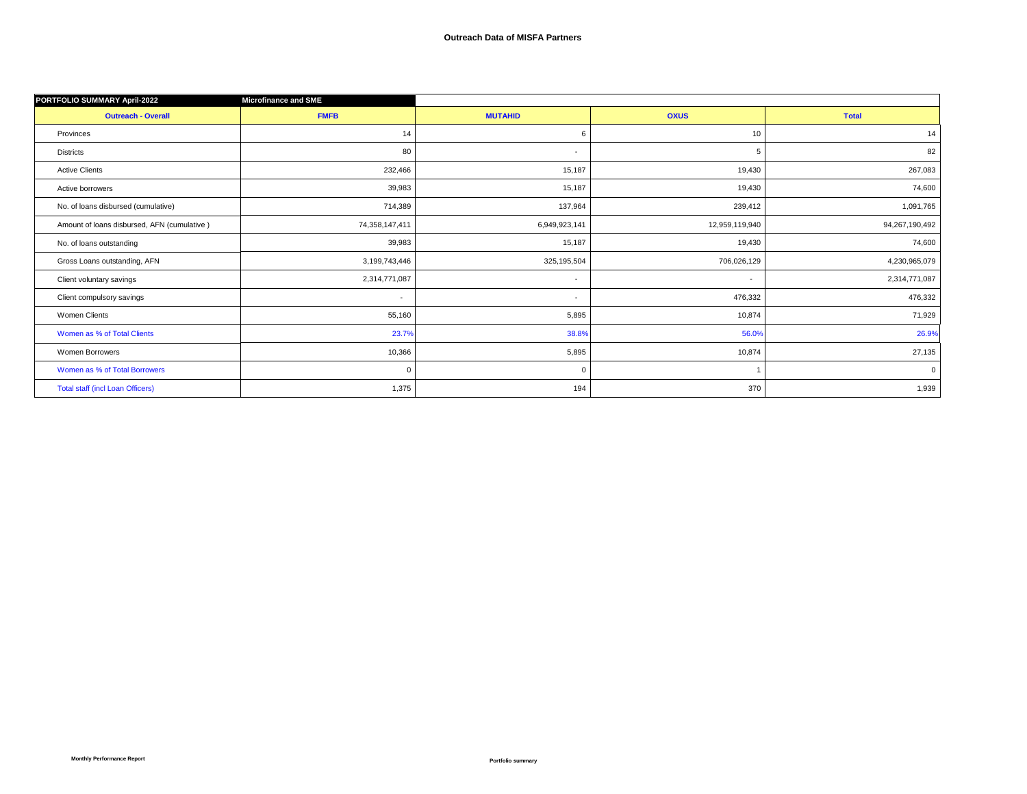| PORTFOLIO SUMMARY April-2022                | <b>Microfinance and SME</b> |                |                |                |
|---------------------------------------------|-----------------------------|----------------|----------------|----------------|
| <b>Outreach - Overall</b>                   | <b>FMFB</b>                 | <b>MUTAHID</b> | <b>OXUS</b>    | <b>Total</b>   |
| Provinces                                   | 14                          | 6              | 10             | 14             |
| <b>Districts</b>                            | 80                          | $\overline{a}$ | 5              | 82             |
| <b>Active Clients</b>                       | 232,466                     | 15,187         | 19,430         | 267,083        |
| Active borrowers                            | 39,983                      | 15,187         | 19,430         | 74,600         |
| No. of loans disbursed (cumulative)         | 714,389                     | 137,964        | 239,412        | 1,091,765      |
| Amount of loans disbursed, AFN (cumulative) | 74,358,147,411              | 6,949,923,141  | 12,959,119,940 | 94,267,190,492 |
| No. of loans outstanding                    | 39,983                      | 15,187         | 19,430         | 74,600         |
| Gross Loans outstanding, AFN                | 3,199,743,446               | 325,195,504    | 706,026,129    | 4,230,965,079  |
| Client voluntary savings                    | 2,314,771,087               | $\sim$         | $\sim$         | 2,314,771,087  |
| Client compulsory savings                   | $\overline{\phantom{a}}$    | $\sim$         | 476,332        | 476,332        |
| Women Clients                               | 55,160                      | 5,895          | 10,874         | 71,929         |
| Women as % of Total Clients                 | 23.7%                       | 38.8%          | 56.0%          | 26.9%          |
| Women Borrowers                             | 10,366                      | 5,895          | 10,874         | 27,135         |
| Women as % of Total Borrowers               | $\mathbf 0$                 | $\mathbf 0$    |                | $\mathbf 0$    |
| <b>Total staff (incl Loan Officers)</b>     | 1,375                       | 194            | 370            | 1,939          |